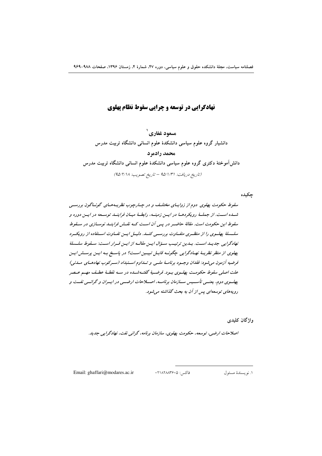# **نهادگرایی در توسعه و چرایی سقوط نظام پهلوی**

مسعود غفاري ` دانشیار گروه علوم سیاسی دانشکدهٔ علوم انسانی دانشگاه تربیت مدرس محمد رادمرد دانشآموختهٔ دکتری گروه علوم سیاسی دانشکدهٔ علوم انسانی دانشگاه تربیت مدرس (تاريخ دريافت: ۹۵/۱/۳۱ - تاريخ تصويب: ۹۵/۲/۱۸)

حكىدە

سقوط حکومت بهلوی دوم از زوایسای مختلیف و در چیارچوب نظریسههسای گونساگون بررستی شـده اسـت. از جملـهٔ رویکردهـا در ایـن زمینـه، رابطـهٔ میـان فراینـد توسـعه در ایـن دوره و متقوط این حکومت است. مقالهٔ حاضیر در پیر آن است کیه نقش فراینید نوسیازی در سیقوط سلسلهٔ پهلسوی را از منظـری متفـاوت بررسـی کنـد. دلیـل ایـن تفـاوت اسـتفاده از رویکـرد نهادگرایی جدیـداست. بـدین ترتیـب سـؤال ایـن مقالـه از ایـن قـرار اسـت: سـقوط سلــسلهٔ پهلوی از منظر نظریهٔ نهبادگرایی چگونیه قابیل تبیین است؟ در پاسخ به ایس پرسش ایس فرضيه آزمون مي شود: فقدان وجسود برنامسهٔ ملسی و تسداوم استنبداد (سیرکوب نهادهیای میدنی) علت اصلی سقوط حکومت پهلسوی بسود. فرضیهٔ گفتیهشیده در سیه نقطبهٔ عطیف مهیم عیصر بهلسوی دوم، بعنسی تأسسیس سیازمان برنامسه، اصبلاحات ارضسی در ابسران و گرانسی نفست و رویههای توسعهای پس از آن به بحث گذاشته می شود.

واژگان کلیدی

اصلاحات ارضي، توسعه، حكومت پهلوي، سازمان برنامه، گراني نفت، نهادگرايي جديد.

Email: ghaffari@modares.ac.ir

فاكس: ٢١٨٢٨٨٣۶٠٥:

١. نو يسندهٔ مسئول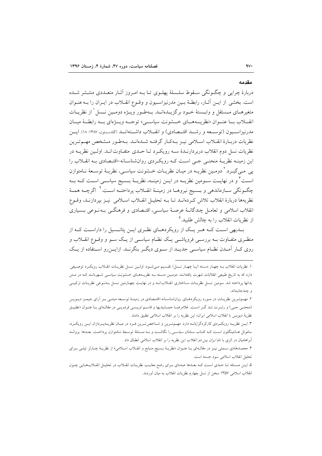#### مقدمه

دربارهٔ جرایر و جگونگر سبقوط سلسلهٔ بهلوی تبا به امیروز آثیار متعبددی منتشر شیده است. بخشی از ایـن آثـار، رابطـهٔ بـین مدرنیزاسـیون و وقـوع انقـلاب در ایـران را بـه عنـوان متغیرهــای مــستقل و وابــستهٔ خــود برگزیــدهانــد. بــهطــور ویــژه دومــین نــسل ٰ از نظریــات انقبلاب بسا عنسوان «نظريسههساي خسشونت سياسيه» توجسه ويسۋەاي بسه رابطسهٔ ميسان مدرنیز است و ن (توسیعه و رشت اقتیصادی) و انقبلات داشتهانید (گلدستون ۱۳۸۷: ۱۸). ایس نظريات دربـارهٔ انقــلاب اســلامي نيــز بــهكـار گرفتــه شــدهانــد. بــهطـور مــشخص مهــم تــرين نظریات نسل دوم انقلاب دربر دارنیدهٔ سبه رویک د تبا حیدی متفیاوت انید. اولین نظرییه در این زمینـه نظریـهٔ منحنـی جـی اسـت کـه رویکـردی روانشناسـانه-اقتـصادی بـه انقــلاب را یی مبی گیـرد.' دومـین نظریــه در میـان نظریــات خــشونت سیاســی، نظریــهٔ توســعهٔ نــامتوازن اســت ٌ و در نهايــت ســومين نظريــه در ايــن زمينــه، نظريــهٔ بـــسيج سياســي اســت كــه بــه چگــونگـي ســازماندهـي و بـــسيج نيروهــا در زمينــهٔ انقـــلاب پرداختــه اســت. ٔ اگرچــه همــهٔ نظريهها دربارة انقلاب تلاش كردهانـد تـا بــه تحليـل انقــلاب اســلامي نيـز بيردازنـد، وقــوع انقلاب اسلامی و تعامـل چندگانـهٔ عرصـهٔ سیاسـی، اقتـصادی و فرهنگـی بـهنـوعی بـسیاری از نظریات انقلاب را به چالش طلبید.<sup>۵</sup>

بــدیهی اسـت کــه هــر یــک از رویکردهــای نظـری ایــن پتانــسیل را داراسـت کــه از منظری متفـّاوت بــه بررســی فرویاشــی یــک نظــام سیاســی از یــک ســو و وقــوع انقــلاب و روی کـار آمـدن نظـام سیاسـی جدیـد از سـوی دیگـر بنگرنــد. ازایــن٫رو اسـتفاده از یــک

١. نظريات انقلاب بـه چهـار دسـته (يـا چهـار نـسل) تقـسيم مـىشـود: اولـين نـسل نظريـات انقـلاب رويكـرد توصـيفي دارد که به تاریخ طبیعی انقلابات شهرت یافتهانـد. دومـین دسـته بــه نظریــههــای خــشونت سیاســی شــهرهانــد کــه در مـتن بدانها برداخته شد. سومین نــسل نظریــات ســاختاری انقــلابانــد و در نهایــت چهــارمین نــسل بــهنــوعی نظریــات ترکیبــی و چندجانبهاند.

۲. مهـمترین نظریـات در مـورد رویکردهـای روانشناسـانه-اقتـصادی در زمینــۀ توسـعه مبتنــی بــر اَرای جیمــز دیــویس (منحنـی جـی) و رابـرت تـد گـر اسـت. غلامرضـا جمــشیدیها و قاسـم اویـسی فردویـی در مقالـهای بـا عنـوان «تطبیـق نظرية ديويس با انقلاب اسلامي ايران» اين نظريه را بر انقلاب اسلامي تطبيق دادند.

۳. ایسن نظریــه رویکــردی کارکردگرایانــه دارد. مهــم تــرین و شــاخص تـرین فــرد در میــان نظریــهیــردازان ایــن رویکــرد، ساموئل هـانتینگتون اسـت کــه کتـاب *ســامان سياســی* را نگاشــت و بــه مــسئلهٔ توســعهٔ نــامتوازن پرداخــت. بعــدها يروانــد آبراهامیان در اثری با نام *ایران بین دو انقلاب* این نظریه را بر انقلاب اسلامی انطباق داد.

۴. محمـدهادي سـمتي نيــز در مقالــهاي بــا عنــوان «نظريــهٔ بــسيج منــابع و انقــلاب اســلامي» از نظريــهٔ چــارلز تيلــي بــراي تحليل انقلاب اسلامي سود جسته است.

۵. ایـن مـسئله تـا حـدي اسـت كـه بعـدها عـدهاي بـراي رفـع معايـب نظريـات انقـلاب در تحليـل انقــلابهـايي چـون انقلاب اسلامی ۱۳۵۷ سخن از نسل چهارم نظریات انقلاب به میان آوردند.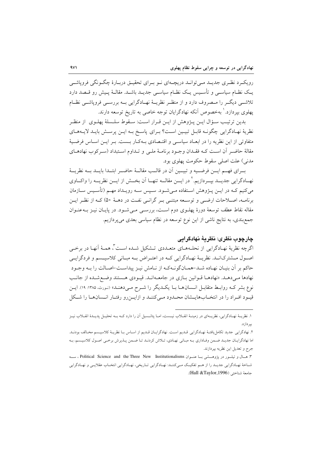رویکرد نظـری جدیــد مــی توانــد دریچــهای نــو بــرای تحقیــق دربــارهٔ چگــونگی فروپاشــی یـک نظـام سیاسـی و تأسـیس یـک نظـام سیاسـی جدیـد باشـد. مقالـهٔ پـیش رو قـصد دارد تلاشمی دیگر را مـصروف دارد و از منظـر نظریــهٔ نهــادگرایی بــه بررســی فروپاشــی نظــام یهلوی بیردازد. ٰ بهخصوص آنکه نهادگرایان توجه خاصی به تاریخ توسعه دارند.

بدين ترتيب سـؤال ايــن يـــژوهش از ايــن قــرار اســت: ســقوط سلــسلهٔ يهلــوي از منظــر نظرية نهـادگرايي چگونـه قابـل تبيـين اسـت؟ بـراي پاسـخ بـه ايـن پرسـش بايـد لايـههـاي متفاوتی از این نظریه را در ابعـاد سیاسـی و اقتـصادی بـهکـار بـست. بـر ایـن اسـاس فرضـیهٔ مقالهٔ حاضـر آن اسـت کـه فقـدان وجـود برنامـهٔ ملـی و تـداوم اسـتبداد (سـرکوب نهادهـای مدني) علت اصلي سقوط حكومت پهلوي بود.

بــراي فهــم ايـــن فرضــيه و تبيــين أن در قالــب مقالــهٔ حاضــر ابتــدا بايـــد بــه نظريـــهٔ نهــادگرايي جديــد بيــردازيم.' در ايـــن مقالـــه تنهـــا اَن بخـــش از ايـــن نظريـــه را واكـــاوي میکنیم کـه در ایــن پــژوهش اســتفاده مــیشــود. ســپس ســه رویــداد مهــم (تأســیس ســازمان برنامـه، اصـلاحات ارضـي و توسـعه مبتنـي بـر گرانـي نفـت در دهـهٔ ۵۰) كـه از نظـر ايـن مقاله نقاط عطف توسعهٔ دورهٔ پهلـوی دوم اسـت، بررسـی مـی شـود. در پایـان نیـز بــهعنـوان جمع بندی، به نتایج ناشی از این نوع توسعه در نظام سیاسی بعدی می پردازیم.

## چارچوب نظري: نظريهٔ نهادگرايي

اگرچه نظریهٔ نهـادگرایی از نحلـههـای متعـددی تـشکیل شـده اسـت ّ، همـهٔ اَنهـا در برخـی اصول مشترکانـد. نظریـهٔ نهـادگرایی کـه در اعتـراض بـه مبـانی کلاسیـسم و فردگرایـی حاكم بر أن بنيـان نهـاده شـد-همـانگونــهكـه از نـامش نيـز پيداسـت-اصـالت را بــه وجـود نهادها مـىدهـد. «نهادهـا قـوانين بـازى در جامعـهانـد. قيـودى هـستند وضـع شـده از جانـب نوع بشر کـه روابـط متقابـل انـسان۱هـا بـا يکـديگر را شـرح مـیدهنـد» (نـورث، ۱۳۸۵: ۱۹). ايـن قیمود افـراد را در انتخـابهایـشان محـدود مـیکننـد و ازایـنرو رفتـار انـسانهـا را شـكل

١. نظريــۀ نهـادگرايي، نظريــهاي در زمينــۀ انقــلاب نيــست، امــا پتانــسيل آن را دارد كــه بــه تحليــل پديـلـۀ انقــلاب نيــز یبا داز د.

٢. نهادگرايي جديد تكامل يافتـۀ نهـادگرايي قـديم اسـت. نهادگرايـان قـديم از اسـاس بـا نظريـۀ كلاسيـسم مخـالف بودنـد. اما نهادگرایـان جدیـد ضـمن وفـاداري بـه مبـاني نهـادي، تـلاش كردنـد تـا ضـمن پـذيرش برخـي اصـول كلاسيـسم، بـه جرح و تعديل اين نظريه بپردازند.

٣. هــال و تيلـــور در پژوهـــشي بــا عنــوان Political Science and the Three New Institutionalisms ، ســـه شـاخهٔ نهـادگرایی جدیـد را از هـم تفکیـک مـیکننـد: نهـادگرایی تـاریخی، نهـادگرایی انتخـاب عقلایـی و نهـادگرایی جامعة شناختي (Hall &Taylor,1996).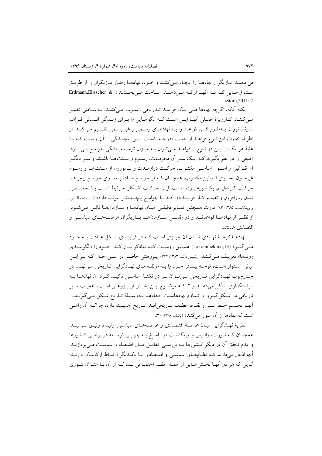می دهند. بـازیگران نهادهـا را ایجـاد مـی کننـد و خـود، نهادهـا رفتـار بـازیگران را از طریـق مِسْهُوقِ هِبَائِرٍ كِيهِ سِهِ أَنْهِيَا إِرَائِيهِ مِي دِهْنِيلِ، سِيَاخِتِ مِي بِخِسْنِيْدِ ( Erdmann,Elisscher & (Storh.2011: 7

نکته اّنکه، اگرچه نهادها طبی یک فراینـد تـدریجی رسـوب مـیکننـد، بـهسـختی تغییـر مبي كننـد. كـارويژهٔ اصـلي اَنهـا ايـن اسـت كـه الگوهـايي را بـراي زنـدگي انـساني فـراهم سازند. نورث بـهطـور كلـي قواعـد را بـه نهادهـاي رسـمي و غيررسـمي تقـسيم مـي كنـد. از نظر او تفاوت این نـوع قواعـد از حیـث «درجـه» اسـت. ایـن پیچیـدگی ازآنروسـت کـه بـا غلبهٔ هر یک از ایـن دو نـوع از قواعـد مـی تـوان بـه میـزان توسـعهیـافتگی جوامـع یـی بـرد: «طيفي را در نظر بگيريد كـه يـك سـر أن محرمـات، رسـوم و سـنتهـا باشـند و سـر ديگـر آن قــوانين و اصــول اساســي مكتــوب. حركــت درازمــدت و نــاموزون از ســنتـهــا و رســوم غیرمدون بهسـوی قـوانین مکتـوب، همچنـان کـه از جوامـع سـاده بـهسـوی جوامـع پیچیــده حركت كـردهايـم، يكـسويه بـوده اسـت. ايـن حركـت أشـكارا مـرتبط اسـت بـا تخصـصي شدن روزافزون و تقسیم کبار فزاینـدهای کـه بـا جوامـع پیچیـدهتـر پیونـد دارد» (نـورث، والـیس و وينكاست، ١٣٨٥: ٨٣. نورث همچنين تمـايز دقيقـي ميـان نهادهـا و سـازمانهـا قائـل مـي شـود. از نظـر او نهادهــا قواعدنــد و در مقابـــل ســـازمانهـــا بـــازيگران عرصــههـــای سیاســـی و اقتصادي هستند.

نهادهــا نتيجــهٔ نهــادي شــدن آن چيــزي اســت كــه در فراينــدي شــكل عــادت بــه خــود مبے گیے د (kominek,n.d,13)، از همین روست کے نھادگرایان کیار خبود را «الگوینیدی روندها» تعریـف مـی کننـد (رئـیس دانـا، ۱۳۸۳: ۳۲۲). پــژوهش حاضـر در عـین حـال کــه بــر ایــن مبانی استوار است، توجـه بیـشتر خـود را بـه مؤلفـههـای نهـادگرایی تـاریخی مـینهـد. در چــارچوب نهــادگرايي تــاريخي مــيتــوان بــر دو نكتــهٔ اساســي تأكيــد كــرد: ١. نهادهــا بــه سیاستگذاری شکل میدهنـد و ۲. کـه موضـوع ایـن بخـش از پـژوهش اسـت، اهمیـت سـیر تاریخی در شکل گیـری و تـداوم نهادهاسـت: «نهادهـا بـهوسـیلهٔ تـاریخ شـکل مـم ,گیرنــد.... أنهـا تجـسم خـط سـير و نقـاط عطـف تـاريخي|نـد. تـاريخ اهميـت دارد، چراكـه أن راهـي است که نهادها از آن عبور می کنند» (پاتنام، ۱۳۸۰: ۳۰).

نظرية نهـادگرايي ميـان عرصــة اقتـصادي و عرصــههـاي سياســي ارتبـاط وثيــق مــي.بينــد. همچنـان كـه نـورث، والـيس و وينگاسـت در پاسـخ بـه چرايـي توسـعه در برخـي كـشورها و عدم تحقق آن در دیگر کشورها بـه بررسـی تعامـل میـان اقتـصاد و سیاسـت مـیپردازنـد. آنها اذعان میدارند ک نظامهای سیاسی و اقتصادی بـا یکـدیگر ارتبـاط ارگانیـک دارنـد؛ گویی که هر دو آنهـا بخـش هـایی از همـان نظـم اجتمـاعی انـد، کـه از آن بـا عنـوان تئـوری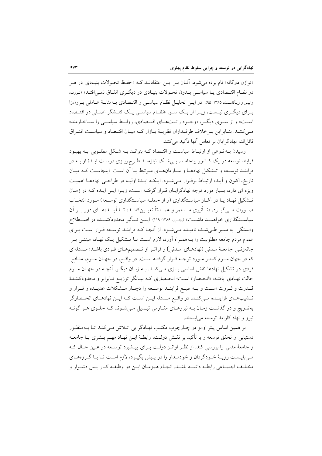«توازن دوگانه» نام برده می شود. آنــان بـر ایــن اعتقادنــد کــه «حفــظ تحــولات بنیــادی در هــر دو نظـام اقتـصادي بــا سياســي بــدون تحـولات بنيــادي در ديگـري اتفــاق نمــي/افتــد» (نـورث، والیس و وینگاست، ۱۳۸۵: ۹۵). در ایــن تحلیــل نظــام سیاســی و اقتــصادی بــهمثابــهٔ عــاملی بــرونiرا بـرای دیگـری نیـست، زیـرا از یـک سـو، «نظـام سیاسـی یـک کنـشگر اصـلی در اقتـصاد است» و از سوی دیگر، «وجود رانتهای اقتصادی، روابط سیاسی را ساختارمند» مبي كننـد. بنـابراين بـرخلاف طرفـداران نظريــهٔ بـازار كــه ميـان اقتــصاد و سياسـت افتـراق قائل|ند، نهادگرایان بر تعامل آنها تأکید میکنند.

رسیدن بـه نـوعی از ارتبـاط سیاسـت و اقتـصاد کـه بتوانـد بـه شـکل مطلـوبی بـه بهبـود فرایند توسعه در یک کـشور بینجامـد، بـی شـک نیازمنـد طـرح٫ریــزی درسـت ایـدهٔ اولیــه در فراینید توسیعه و تیشکیل نهادهیا و سیازمانهیای میرتبط بیا آن است. اینجاست کیه مییان تاريخ، اكنون و أينده ارتبـاط برقـرار مـي شـود. اينكـه ايـدهٔ اوليـه در طراحـي نهادهـا اهميـت ویژه ای دارد، بسیار مورد توجه نهادگرایـان قـرار گرفتـه اسـت، زیـرا ایـن ایـده کـه در زمـان تـشکیل نهـاد یـا در آغـاز سیاسـتگذاری (و از جملـه سیاسـتگذاری توسـعه) مـورد انتخـاب صـورت مــي&ــرد، «تــأثيري مــستمر و عمــدتاً تعيــينكننــده تــا اَينــدهمــاي دور بــر اَن سیاســتگذاری خواهنــد داشـــت» (پیتـرز، ۱۳۸۶: ۱۱۹). ایـــن تـــأثیر محدودکننــده در اصـــطلاح وابستگی به مسیر طے شده نامیـده مـی شـود. از آنجـا کـه فراینـد توسـعه قـرار اسـت بـرای عموم مردم جامعه مطلوبیت را بـههمـراه آورد، لازم اسـت تــا تــشکیل یــک نهـاد، مبتنــی بــر چانەزنـی جامعـهٔ مـدنی (نهادهـای مـدنی) و فراتـر از تـصمیمهـای فـردی باشـد؛ مـسئلهای که در جهان سـوم کمتـر مـورد توجـه قـرار گرفتـه اسـت. در واقـع، در جهـان سـوم، منـافع فردی در تشکیل نهادها نقش اساسی بـازی مـیکنـد. بـه زبـان دیگـر، آنچـه در جهـان سـوم حالت نهـادی یافتـه، «انحـصار» اسـت؛ انحـصاری کـه بیـانگر توزیـع نـابرابر و محدودکننــدهٔ قــدرت و ثــروت اســت و بــه طبــع فراينــد توســعه را دچــار مــشكلات عديــده و فــراز و نــشيبهـاي فزاينــده مــيكنــد. در واقــع مــسئله ايــن اســت كــه ايــن نهادهــاي انحــصارگر بهتدریج و در گذشت زمـان بــه نیروهـای مقـاومی تبـدیل مــیشـوند کــه جلــوی هــر گونــه نیرو و نهاد کارامد توسعه مے ایستند.

بر همین اساس پیتر اوانز در چـارچوب مکتـب نهـادگرایی تـلاش مـی کنـد تـا بــه منظـور دستیابی و تحقق توسعه و با تأکید بر نقــش دولــت، رابطــهٔ ایــن نهــاد مهــم بــشری بــا جامعــه و جامعهٔ مدنی را بررسی کند. از نظـر اوانـز دولـت بـرای پیــشبرد توسـعه در عـین حـال کـه می بایـست رویـهٔ خـودگردان و خودمـدار را در پـیش بگیـرد، لازم اسـت تـا بـا گـروههـاي مختلّف اجتمـاعي رابطـه داشـته باشـد. انجـام همزمـان ايــن دو وظيفـه كـار بـس دشـوار و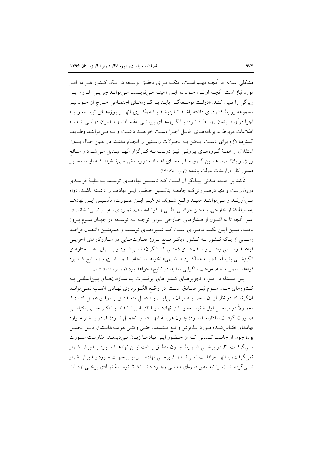مشکلی است؛ اما آنچــه مهــم اســت، اینکــه بــرای تحقــق توســعه در یــک کــشور هــر دو امــر مورد نیاز است. آنچــه اوانــز، خــود در ایــن زمینــه مــیiویــسد، مــیiوانــد چرایــی لــزوم ایــن ویژگی را تبیین کنـد: «دولـت توسـعهگـرا بایـد بـا گـروههـای اجتمـاعی خـارج از خـود نیـز مجموعه روابط فشردهای داشته باشـد تـا بتوانـد بـا همکـاری آنهـا پـروژههـای توسـعه را بـه اجرا درآورد. بدون روابط فــشرده بــا گــروههــاي بيرونــي، مقامــات و مــديران دولتــي، نــه بــه اطلاعات مربوط به برنامههبای قابیل اجبرا دست خواهنید داشت و نبه مبی تواننید وظبایف گستردهٔ لازم برای دست پافتن بـه تحـولات راسـتين را انجـام دهنـد. در عـين حـال بـدون استقلال از همـهٔ گـروههـای بیرونـی نیـز دولـت بـه کـارگزار آنهـا تبـدیل مـی شـود و منـافع ویـژه و بلافـصل همـین گـروههـا بـهجـای اهـداف درازمـدتی مـی نـشیند کـه بایـد محـور دستور کار درازمدت دولت باشد» (اوانز، ۱۳۸۰: ۲۴).

تأکید بر جامعهٔ مـدنی بیـانگر آن اسـت کـه تأسـیس نهادهـای توسـعه بـه مثابـهٔ فراینـدی درون زاست و تنها درصورتیکه جامعه پتانسیل حضور ایـن نهادهـا را داشـته باشـد، دوام مـیآورنــد و مــیتواننــد مفیــد واقــع شــوند. در غیــر ایــن صــورت، تأســیس ایــن نهادهــا بهوسیلهٔ فشار خارجی، بـهجـز حرکتـی بطئـی و کوتـاهمـدت، ثمـرهای بـهبـار نمـی نـشاند. در عمل آنچه تا به اکنـون از فــشارهای خــارجی بــرای توجــه بــه توســعه در جهــان ســوم بــروز یافتـه، مبـین ایـن نکتـهٔ محـوری اسـت کـه شـیوههـای توسـعه و همچنـین «انتقـال قواعـد رسـمي از يـک کـشور بـه کـشور ديگـر مـانع بـروز تفـاوتهـايي در سـازوکارهاي اجرايـي قواعــد رســمي رفتــار و مــدلهــاي ذهنــي كنــشگران» نمــي شــود و بنــابراين «ســاختارهاي انگیزشــی پدیدآمــده بــه عملکــرد مــشابهی» نخواهــد انجامیــد و ازایـــزرو «نتــایج کــاربرد قواعد رسمی مشابه، موجب واگرایی شدید در نتایج» خواهد بود (چاونس. ۱۳۹۰: ۱۲۶).

ایـن مـسئله در مـورد تجویزهـای کـشورهای ابرقـدرت یـا سـازمانهـای بـین|لمللـی بـه كـشورهاي جـان سـوم نيـز صـادق اسـت. در واقـع الگـوبرداري نهـادي اغلـب نمـيتوانـد أن گونه كه در نظر از أن سخن بـه ميـان مـى آيـد، بـه علـل متعـدد زيـر موفـق عمـل كنـد: ١. معمـولاً در مراحـل اوليــهٔ توســعه بيــشتر نهادهــا يــا اقتبــاس نــشدند يــا اگــر جنــين اقتباســي صورت گرفت، ناکارامید بیود؛ چیون هزینیهٔ آنهیا قابیل تحمیل نیبود؛ ۲. در بیشتر میوارد نهادهاي اقتباس شده مورد پلذيرش واقع نـشدند، حتـى وقتـى هزينـههايـشان قابـل تحمـل بود؛ چون از جانب کسانی کـه از حـضور ايـن نهادهـا زيـان مـىديدنـد، مقاومـت صـورت مبي گرفت؛ ٣. در برخبي شـرايط چــون منطــق پــشت ايــن نهادهــا مــورد پــذيرش قــرار نمي گرفت، با آنهـا موافقـت نمـي شـد؛ ۴. برخـي نهادهـا از ايــن جهـت مـورد پــذيرش قـرار نميي گرفتنـد، زيـرا تبعـيض دورهاي معينـي وجـود داشـت؛ ۵. توسـعهٔ نهـادي برخـي اوقـات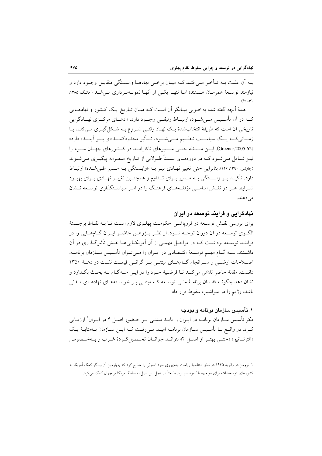بــه أن علــت بــه تــأخير مــي|فتــد كــه ميــان برخــي نهادهــا وابـــستگي متقابــل وجــود دارد و نیازمند توسیعهٔ همزمیان هستند؛ امیا تنهیا یکی از آنهیا نمونیهبرداری می شید (چانگ، ۱۳۸۵:  $(9. - 9)$ 

همهٔ اَنچه گفته شد، به خــوبی بیــانگر اَن اســت کــه میــان تــاریخ یــک کــشور و نهادهــایی کــه در آن تأســـيس مـــيشـــود، ارتبـــاط وثيقـــي وجـــود دارد. «ادعـــاي مرکـــزي نهـــادگرايي تاریخی اَن است که طریقهٔ انتخابشدهٔ یک نهـاد وقتـی شـروع بـه شـکل گیـری مـیکنـد یـا زمــانى كــه يـــك سياســـت تنظــيم مـــى شـــود، تـــأثير محدودكننـــدهاى بـــر آينـــده دارد» (Greener,2005:62). ایس مسسئله حتمی مسسیرهای ناکاراملد در کشورهای جهان سوم را نیـز شـامل مـی شـود کـه در دورههـای نــسبتاً طـولانی از تــاریخ مـصرانه پیگیـری مـی شـوند (جاونس، ۱۳۹۰: ۱۲۶). بنابراین حتبی تغییر نهادی نیـز بـه «وابـستگی بـه مـسیر طـی شـده» ارتبـاط دارد. تأکیــد بــر وابــستگی بــه مــسیر بــرای تــداوم و همچنــین تغییــر نهــادی بــرای بهبــود شـرایط هـر دو نقـش اساسـی مؤلفـههـای فرهنـگ را در امـر سیاسـتگذاری توسـعه نـشان مى دهند.

### نهادگرامی و فرامند توسعه در ایران

برای بررسی نقسش توسیعه در فروپاشی حکومت پهلیوی لازم است تبا بیه نقباط برجستهٔ الگـوی توسـعه در آن دوران توجـه شـود. از نظـر پــژوهش حاضـر ايـران گــامهــايي را در فراینـد توسـعه برداشـت كـه در مراحـل مهمـى از آن آمريكـايىهـا نقـش تأثيرگـذارى در آن داشــتند. ســه گــام مهــم توســعهٔ اقتــصادي در ايــران را مــي تــوان تأســيس ســازمان برنامــه، اصلاحات ارضی و سرانجام گامهای مبتنی بر گرانی قیمت نفت در دههٔ ۱۳۵۰ دانست. مقالهٔ حاضر تلاش می کنـد تـا فرضـیهٔ خـود را در ایـن سـه گـام بـه بحـث بگـذارد و نشان دهد چگونــه فقــدان برنامــهٔ ملــی توســعه کــه مبتنــی بــر خواســتههــای نهادهــای مــدنی باشد، رژیم را در سراشیب سقوط قرار داد.

#### ۱. تأسس سازمان برنامه و بودجه

فکر تأسیس سـازمان برنامــه در ایــران را بایــد مبتنــی بــر حــضور اصــل ۴ در ایــران<sup>۱</sup> ارزیــابی کے د. در واقع بــا تأســيس ســازمان برنامــه اميــد مــى رفــت کــه ايــن ســازمان بــهمثابــهٔ يــک «اَلترنساتيو» «حتبي بهتبر از اصبل ۴» بتوانسد جوانسان تحبصيل كبردهٔ غيرب و بسه *خي*صوص

۱. ترومن در ژانویهٔ ۱۹۴۵ در نطق افتتاحیهٔ ریاست جمهوری خود اصولی را مطرح کرد که چهارمین آن بیانگر کمک آمریکا به کشورهای توسعهنیافته برای مواجهه با کمونیسم بود. طبیعتاً در عمل این اصل به سلطهٔ آمریکا بر جهان کمک میکرد.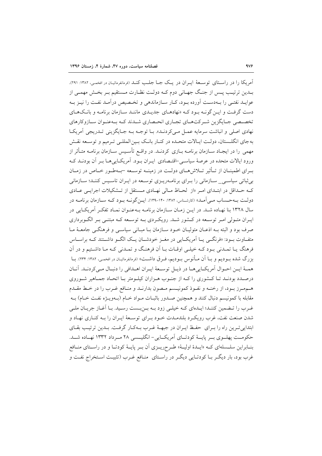آمريكا را در راسـتاي توسـعهٔ ايـران در يـك جـا جلـب كنـد (فرمانفرمائيـان در افخمـي، ١٣٨٢: ٢٩١). بیدین ترتیب پس از جنگ جهیانی دوم کیه دولت نظیارت مستقیم بیر بخش مهمبی از عوایـد نفتـم را بــهدسـت آورده بــود، كــار ســازماندهی و تخــصیص درآمـد نفـت را نيــز بــه دست گرفت و ایـن گونــه بـود کــه «نهادهــای جدیــدی ماننــد ســازمان برنامــه و بانــکـهــای تخصصی جـایگزین شـرکتهـای تجـاری انحـصاری شـدند کـه بـهعنـوان سـازوکارهای نهادي اصلي و انباشت سرمايه عمـل مـي كردنـد». بــا توجــه بــه جــايگزيني تــدريجي أمريكــا به جای انگلـستان، دولـت ایـالات متحـده در کنـار بانـک بـین|لمللـی تـرمیم و توسـعه نقـش مهمی را در ایجـاد ســازمان برنامــه بــازی کردنــد. در واقــع تأســیس ســازمان برنامــه متــأثر از ورود ایالات متحده در عرصهٔ سیاسـی-اقتـصادی ایـران بـود. آمریکـاییِهـا بـر آن بودنــد کـه بیرای اطمینیان از تبأثیر تبلاش هیای دولت در زمینیه توسیعه سیهطیور خیاص در زمیان بی ثباتی سیاستی\_ سـازمانی را بـرای برنامـهریـزی توسـعه در ایـران تاسـیس کننـد؛ سـازمانی که حـداقل در ابتـدای امـر «از لحـاظ مـالی نهـادی مـستقل از تـشکیلات اجرایـی عـادی دولت بــهحـساب مــي آمــد» (كارشـناس، ۱۳۸۲: ۱۳۰۰-۱۳۹). ايــن گونــه بــود كــه ســازمان برنامــه در سال ۱۳۲۸ بنا نهـاده شـد. در ايـن زمـان سـازمان برنامـه بـهعنـوان نمـاد تفكـر آمريكـايي در ایـران متـولی امـر توسـعه در کــشور شــد. رویکـردی بــه توسـعه کــه مبتنــی بـر الگــوبرداری صرف بود و البته بـه اذعـان متوليـان خـود سـازمان بـا مبـاني سياسـي و فرهنگـي جامعـهٔ مـا متفاوت بود: «فرنگـي يــا اَمريكــايي در مغــز خودشــان يــک الگــو داشــتند کــه براســاس فرهنگ يـا تمـدني بـود كـه خيلـي اوقـات بـا أن فرهنـگ و تمـدني كـه مـا داشـتيم و در أن بزرگ شده بــوديم و بــا اَن مــأنوس بــوديم، فــرق داشــت» (فرمانفرمائيــان در افخمــي، ١٣٨٢: ١٣٣۴). بــا همـهٔ ايـن احـوال أمريكـاييهـا در ذيـل توسـعهٔ ايـران اهـدافي را دنبـال مـيكردنـد. أنـان درصـدد بودنـد تـا كـشوري را كـه از جنـوب هـزاران كيلـومتر بـا اتحـاد جمـاهير شـوروي هـممـرز بـود، از رخنـه و نفـوذ كمونيـسم مـصون بدارنـد و منـافع غـرب را در خـط مقـدم مقابله با کمونیسم دنبال کنند و همچنین صـدور باثبـات مـواد خـام (بــهویــژه نفـت خـام) بــه غـرب را تـضمین کننـد؛ ایـدهای کـه خیلـی زود بـه بـن.بـست رسـید. بـا آغـاز جریـان ملـی شدن صنعت نفت، غرب رويك د بلندمـدت خـود بـراي توسـعهٔ ايـران را بـه كنـاري نهـاد و ابتدایی تـرین راه را بـرای حفـظ ایـران در جبهـهٔ غـرب بـهکـار گرفـت. بـدین ترتیـب بقـای حکومت پهلـوي بــر پايــهٔ کودتــاي اَمريکــايي-انگليــسي ۲۸ مــرداد ۱۳۳۲ نهــاده شــد. بنــابراین سلــسلهای کــه «ایــدهٔ اولیــهٔ» طــرحریــزی آن بــر پایــهٔ کودتــا و در راســتای منــافع غرب بود، بار دیگـر بـا کودتـایی دیگـر در راسـتای ِ منـافع غـرب (تثبیـت اسـتخراج نفـت و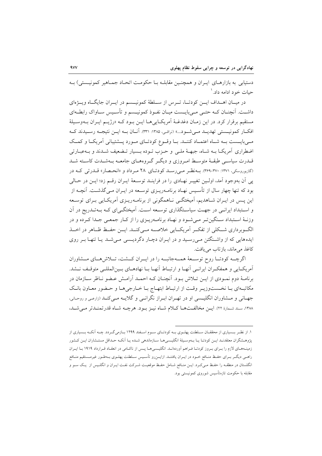دستیابی به بازارهـای ایـران و همچنـین مقابلـه بـا حکومـت اتحـاد جمـاهیر کمونیـستی) بـه حیات خود ادامه داد. ۱

در میـان اهــداف ايــن كودتــا، تــرس از ســلطهٔ كمونيــسم در ايــران جايگــاه ويــژهاي داشت. آنچنان کـه حتـی مـیبایــست میـان نفـوذ کمونیــسم و تأسـیس سـاواک رابطــهای مستقيم برقرار كرد. در اين زمـان دغدغــهٔ آمريكــايىهــا ايــن بــود كــه «رژيــم ايــران بــهوسـيلهٔ افکــار کمونیــستی تهدیــد مــی شــود...» (نراقـی، ۱۳۸۵: ۳۳۱). آنــان بــه ایــن نتیجــه رســیدند کــه مـی بایــست بــه شــاه اعتمــاد کننــد. بــا وقــوع کودتــای مــورد پــشتیبانی آمریکــا و کمــک اضطراري آمريكـا بــه شــاه، جبهــهٔ ملــي و حــزب تــوده بــسيار تــضعيف شــدند و بــهعبــارتي قــدرت سیاســی طبقــهٔ متوسـط امــروزی و دیگــر گــروههــای جامعــه بــهشــدت کاســته شــد (گازیوروسکی، ۱۳۷۱: ۳۶۹-۳۶۹). بے نظیر میے رسید کو دتیای ۲۸ میرداد و «انحیصار» قیدرتی کیه در يي آن بهوجود آمد، اوليين تغييـر نهـادي را در فراينـد توسـعهٔ ايـران رقـم زد؛ ايـن در حـالي بود که تنها چهار سال از تأسـیس نهـاد برنامــهریــزی توســعه در ایــران مــیگذشــت. آنچــه از این پس در ایـران شـاهدیم، آمیختگـی نـاهمگونی از برنامـهریـزی آمریکـایی بـرای توسـعه و اسـتبداد ايرانـي در جهـت سياسـتگذاري توسـعه اسـت. آميختگـي|ي كـه بـهتـدريج در آن وزنـهٔ اسـتبداد سـنگينتـر مـىشـود و نهـاد برنامـهريـزي را از كـار جمعـى جـدا كـرده و در الگـوبرداری شــکلی از تفکــر آمریکــایی خلاصـــه مــی کنــد. ایــن حفــظ ظــاهر در اخــذ ایدههایی که از واشتگتن می رسید و در ایـران دچـار دگردیـسی مـیشـد یـا تنهـا بـر روی كاغذ مى ماند، بازتاب مى يافت.

اگرچـه كودتـا روح توســعهٔ همــهجانبــه را در ايــران كــشت، تــلاش هــاي مــشاوران أمريكـايي و همفكـران ايرانـي أنهـا و ارتبـاط أنهـا بـا نهادهـاي بـينالمللـي متوقـف نــشد. برنامـهٔ دوم نمـودي از ايـن تـلاش بـود. اَنچنـان كـه احمـد اَرامـش عـضو نـاظر سـازمان در مکاتبهای بـا نخـستوزيـر وقـت از ارتبـاط ابتهـاج بـا خـارجىهـا و حـضور معـاون بانـک جهـاني و مـشاوران انگليـسي او در تهـران ابـراز نگرانـي و گلايــه مـيكنــد (زارعـي و روحـاني، ١٣٨٨، سند شمارة ٢٢). ايــز مخالفـتهــا كــلام شــاه نيــز بــود. هرچــه شــاه قدرتمنــدتر مــي شــد،

۱. از نظـر بــسیاری از محققــان ســلطنت پهلــوی بــه کودتــای ســوم اســفند ۱۲۹۹ بــازمیگــردد. چــه آنکــه بــسیاری از پژوهـشگران معتقدنـد ايــن كودتـا يــا بــهوسـيلهٔ انگليــسىهــا ســازماندهى شــده يــا اَنكــه حــداقل مستــشاران ايــن كــشور زمینـههـاي لازم را بـراي بـروز كودتـا فـراهم اَوردهانـد. انگليـسيهـا پـس از ناكـامي در انعقـاد قـرارداد ١٩١٩ بـا ايـران راهـی دیگــر بــرای حفــظ منــافع خــود در ایــران یافتنــد. ازایـــن٫و تأســیس ســلطنت پهلــوی بــهطــور غیرمــستقیم منــافع انگلستان در منطقـه را حفـظ مـیکـرد. ایـن منـافع شـامل حفـظ موقعیـت شـرکت نفـت ایـران و انگلـیس از یـک سـو و مقابله با حکومت تازهتأسیس شوروی کمونیستی بود.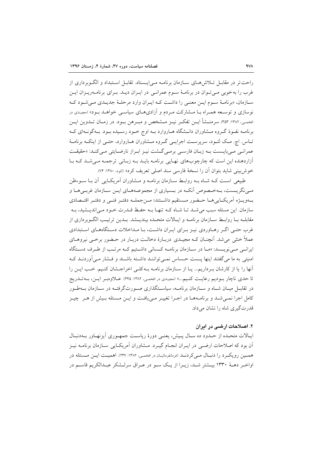راحت تر در مقابــل تــلاش هــاي ســازمان برنامــه مــى ايــستاد. تقابــل اســتبداد و الگــوبرداري از غرب را به خوبی مبی تبوان در برنامیهٔ سیوم عمرانبی در ایبران دیید. پیرای برنامیهرییزان ایبن سازمان، «برنامـهٔ سـوم ايـن معنـي را داشـت كـه ايـران وارد مرحلـهٔ جديـدي مـي شـود كـه نوسازی و توسعه همـراه بـا مـشارکت مـردم و آزادیهـای سیاسـی خواهـد بـود» (مجیدی در افخمـي، ١٣٨٢: ٣٥٣). سرمنــشأ ايـــن تفكــر نيــز مــشخص و مبــرهـن بــود. در زمــان تـــدوين ايـــن برنامـه نفـوذ گـروه مـشاوران دانـشگاه هـاروارد بـه اوج خـود رسـيده بـود. بـهگونـهاي كـه تـاس. اچ. مـک لئـود، سرپرسـت اجرايـي گـروه مـشاوران هـاروارد، حتـي از اينکـه برنامـهٔ عمرانے مے بایست بـه زبـان فارسـی برمـی گــشت نیـز ابـراز نارضـایتی مـی کنــد: «حقیقــت آزاردهنده این است که چارچوبهای نهایی برنامـه بایـد بـه زبـانی ترجمـه مـیشـد کـه بـا خوش بيني شايد بتوان أن را نسخهٔ فارسي سند اصلي تعريف كرد» (لئود، ۱۳۸۰: ۷۴).

طبیعی است کـه شـاه بـه روابـط سـازمان برنامـه و مـشاوران آمریکـایی آن بـا سـوءظن می نگریست، بـهخـصوص آنکـه در بـسیاري از مجموعـههـاي ايــن ســازمان غربــيهــا و بــهويــــرْه آمريكـــايي هـــا حــضور مــستقيم داشـــتند؛ مـــن جملـــه دفتـــر فقـــو اقتـــصادي سازمان. این مسئله سبب می شـد تـا شـاه کـه تنهـا بـه حفـظ قـدرت خـود مـی|ندیـشید، بـه مقابلــه بــا روابــط ســـازمان برنامــه و ايــالات متحــده بينديـــشد. بــدين ترتيـــب الگــوبرداري از غرب حتبی اگـر رهـاوردی نیـز بـرای ایـران داشـت، بـا مـداخلات دسـتگاههـای اسـتبدادی عملاً خنثی می شد. آنچنـان کـه مجیـدی دربـارهٔ دخالـت دربـار در حـضور برخـی نیروهـای ایرانبی مبی نویسد: «مبا در سبازمان برنامیه کسانی داشتیم کیه مرتب از طرف دستگاه امنیتی به ما می گفتند اینها پست حساس نمـی تواننـد داشـته باشـند و فـشار مـی آوردنـد کـه آنها را یا از کارشان برداریم... یـا از سـازمان برنامـه بـهکلـی اخراجـشان کنـیم. خـب ایـن را تا حدي ناچار بوديم رعايت كنيم...» (مجيدي در افخمي، ١٣٨٢: ۴۴٥). عـلاوهبـر ايـن، بـه تــدريج در تقابــل میــان شــاه و ســازمان برنامــه، سیاســتگذاری صــورتگرفتــه در ســازمان بــهطــور کامل اجرا نمـیشـد و برنامـههـا در اجـرا تغییـر مـیافـت و ایـن مـسئله بـیش از هـر چیـز قدرتگیری شاه را نشان می داد.

#### ۲. اصلاحات ارضبی در ادران

اپیالات متحیده از حیدود ده سیال پیش، یعنبی دورهٔ ریاست جمهوری آیزنهباور بیهدنیبال آن بود که اصلاحات ارضـی در ایــران انجــام گیــرد. مــشاوران آمریکــایی ســازمان برنامــه نیــز همسین رویک رد را دنبال مسیکردنــد (فرمانفرمائیـان در افخمــی، ۱۳۸۲: ۲۳۷). اهمیــت ایــن مــسئله در اواخـر دهــهٔ ۱۳۳۰ بیــشتر شــد، زیــرا از یــک ســو در عــراق سرلــشکر عبــدالکریم قاســم در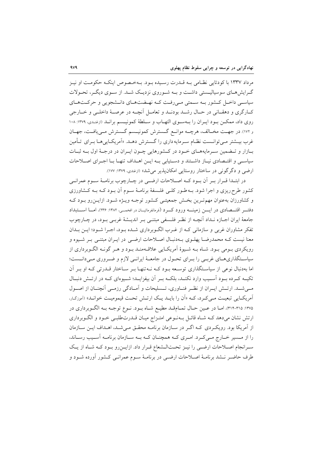مرداد ۱۳۳۷ با کودتایی نظامی بـه قـدرت رسـیده بـود. بـهخـصوص اینکـه حکومـت او نیـز گیرایش هیای سوسیالیستی داشت و بیه شیوروی نزدیک شید. از سیوی دیگیر، تحیولات سیاسی داخـل کـشور بـه سـمتی مـیرفـت کـه نهـضتهـای دانـشجویی و حرکـتهـای كــارگري و دهقــاني در حــال رشــد بودنــد و تعامــل أنچــه در عرصــهٔ داخلــي و خــارجي روی داد، ممکن بود ایـران را بـهسـوی التهـاب و سـلطهٔ کمونیـسم برانـد (ازغنـدی، ۱۳۷۹: ۱۰۸ و ۱۷۲). در جهت مخـالف، هرچــه موانــع گــسترش كمونيــسم گــسترش مــي يافــت، جهــان غرب بیـشتر مـی توانـست نظـام سـرمایه داری را گـسترش دهـد. «اَمریکـاییِهـا بـرای تـأمین بازار و تـضمين سـرمايههـاي خـود در كـشورهايي چـون ايـران در درجـهٔ اول بــه ثبـات سیاسی و اقتـصادی نیـاز داشـتند و دسـتیابی بـه ایـن اهـداف تنهـا بـا اجـرای اصـلاحات ارضي و دگر گونې در ساختار روستايي امکان پذير مي شد» (ازغندي، ١٣٧٩: ١٧٧).

در ابتـدا قـرار بـر أن بـود كـه اصـلاحات ارضـى در چـارچوب برنامـهٔ سـوم عمرانـى کشور طرح٫یزی و اجرا شود. بــه طــور کلــی فلــسفهٔ برنامــهٔ ســوم أن بــود کــه بــه کــشاورزی و کشاورزان بهعنوان مهم تـرین بخـش جمعیتـی کـشور توجـه ویـژه شـود. ازایـن٫رو بـود کـه دفتـــر اقتـــصادي در ايــــن زمينــــه ورود كـــرد (فرمانفرمائيـــان در افخمـــي، ١٣٨٢: ٢٣۶)، امــــا اســــتبداد جامعهٔ ایران اجبازه نبداد آنچیه از نظر فلسفی مبتنبی بـر اندیـشهٔ غربـی بـود، در چـارچوب تفکر مشاوران غربی و سازمانی کـه از غـرب الگـوبرداری شـده بـود، اجـرا شـود؛ ایــن بــدان معنا نیست کـه محمدرضـا پهلـوي بـهدنبـال اصـلاحات ارضـي در ايـران مبتنـي بـر شـيوه و رویکردی بـومی بـود. شـاه بـه شـیوهٔ آمریکـایی علاقـهمنـد بـود و هـر گونـه الگـوبرداری از سیاستگذاریهـای غربـی را بـرای تحـول در جامعـهٔ ایرانـی لازم و ضـروری مـیدانــست؛ اما بهدنبال نوعی از سیاستگذاری توسعه بود کـه نـهتنهـا بـر سـاختار قـدرتی کـه او بـر آن تکیــه کــرده بــود آســیب وارد نکنــد، بلکــه بــر آن بیفزایــد؛ شــیوهای کــه در ارتــش دنبــال مبی شــد. ارتــش ایــران از نظــر فنــاوری، تــسلیحات و آمــادگی رزمــی آنچنــان از اصــول آمریکایی تبعیت مـیکرد، کـه «اَن را بایـد یـک ارتـش تحـت قیمومیـت خوانـد» (آموزگـار، ۱۳۷۵: ۳۱۵-۳۱۴)، امـا در عـين حـال تمـامقـد مطيـع شـاه بـود. نـوع توجـه بـه الگـوبرداري در ارتش نشان میدهد کـه شـاه قائـل بـهنـوعی امتـزاج میـان قــدرتطلبـی خـود و الگـوبرداری از آمریکا بود. رویکردی کـه اگـر در سـازمان برنامـه محقـق مـی شـد، اهـداف ایـن سـازمان را از مسیر خـارج مـیکـرد. امـری کـه همچنـان کـه بـه سـازمان برنامـه آسـیب رسـاند، سرانجام اصلاحات ارضى را نيـز تحـتالـشعاع قـرار داد. ازايـنرو بـود كـه شـاه از يـك طرف حاضر نـشد برنامـهٔ اصـلاحات ارضـي در برنامـهٔ سـوم عمرانـي كـشور أورده شـود و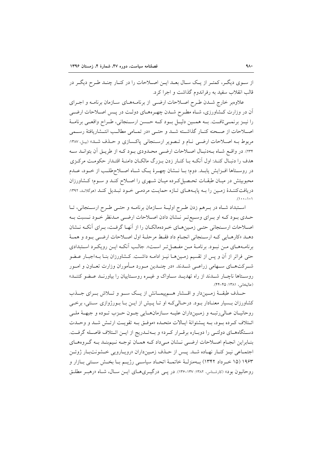از سـوي ديگـر، كمتـر از يـك سـال بعـد ايـن اصـلاحات را در كنـار چنـد طـرح ديگـر در قالب انقلاب سفيد به رفراندوم گذاشت و اجرا کرد.

علاوهبر خارج شدن طرح اصلاحات ارضى از برنامـههـاى سـازمان برنامـه و اجـراى آن در وزارت کـشاورزي، شـاه مطـرح شـدن چهـرههـاي دولـت در پـس اصـلاحات ارضـي را نیــز برنمــیتافــت. بــه همــین دلیــل بــود کــه حــسن ارســنجانی، طــراح واقعــی برنامــهٔ اصلاحات از صـحنه كنــار گذاشــته شــد و حتــى «در تمــامى مطالــب انتــشاريافتهٔ رســمى مربوط بـه اصـلاحات ارضـي نـام و تـصوير ارسـنجاني پاكـسازي و حـذف شـد» (بيـل، ١٣٨٧: ٢٣٣). در واقع شـاه بـهدنبـال اصـلاحات ارضـي محـدودي بـود كـه از طريـق آن بتوانـد سـه هدف را دنبـال كنـد: اول آنكـه بـا كنـار زدن بـزرگ مالكـان دامنـهٔ اقتـدار حكومـت مركـزى در روسـتاها افـزايش يابـد. دوم؛ بــا نــشان چهــرهٔ يــک شــاه اصــلاحطلــب از خــود، عــدم محبوبیتش در میـان طبقـات تحـصیل کـرده میـان شـهری را اصـلاح کنـد و سـوم؛ کـشاورزان دریافتکننـدۀ زمـین را بـه پایـههـای تـازه حمایـت مردمـی خـود تبـدیل کنـد (موگلانـد، ۱۳۹۲:  $(1 - -1)$ 

اسـتبداد شـاه در بـرهم زدن طـرح اوليـهٔ سـازمان برنامـه و حتـي طـرح ارسـنجاني، تـا حـدي بـود كـه او بـراي وسـيع تـر نــشان دادن اصـلاحات ارضـي مـدنظر خـود نــسبت بـه اصلاحات ارسـنجاني حتـي زمـينهـاي خـردهمالكـان را از أنهـا گرفـت، بـراي أنكـه نــشان دهـد «كارهـايي كـه ارسـنجاني انجـام داد فقـط مرحلـهٔ اول اصـلاحات ارضـي بـود و همـهٔ برنامـههـاي مـن نبـود. برنامـهٔ مـن مفـصل تـر اسـت». جالـب اّنكـه ايـن رويكـرد اسـتبدادي حتی فراتر از آن و پس از تقسیم زمـینهـا نیـز ادامـه داشـت. کـشاورزان بنـا بـهاجبـار عـضو شــرکتهــای ســهامی زراعــی شــدند. «در چنــدین مــورد مــأموران وزارت تعــاون و امــور روسـتاها ناچـار شـدند از راه تهديـد سـاواک و غيـره روسـتاييان را بياورنـد عـضو کننـد» (عاليخاني، ١٣٨١: ۴٥-۴۴).

حــذف طبقــهٔ زمــیندار و اقــشار هــم پیمــانش از یــک ســو و تــلاش بــرای جــذب کشاورزان بـسیار معنـادار بـود. درحـالیکـه او تـا پـیش از ایــن بـا بـورژوازی ســنتی، برخــی روحانيـان عـالىرتبـه و زمـينداران عليـه سـازمانهـايي چـون حـزب تـوده و جبهــۀ ملــي ائـتلاف كـرده بـود، بـه پــشتوانهٔ ايـالات متحـده «موفـق بـه تقويـت ارتــش شــد و وحــدت دستگاههای دولتمی را دوباره برقرار کرد» و به تمدریج از این ائتلاف فاصله گرفت. بنـابراين انجـام اصـلاحات ارضـي نـشان مـيداد كـه همـان توجـه نـيم بنـد بـه گـروههـاي اجتمـاعي نيـز كنـار نهـاده شـد. پـس از حـذف زمـينداران «رويـارويي خـشونتبـار ژوئـن ١٩۶٣ (١۵ خرداد ١٣۴٢) بــهمنزلــهٔ خاتمــهٔ اتحــاد سياســي رژيــم بــا بخــش ســنتي بــازار و روحانیون بود» (کارشناس، ۱۳۸۲: ۱۳۷-۱۳۶). در یسی درگیریهای ایـن سـال، شـاه «رهبـر مطلـق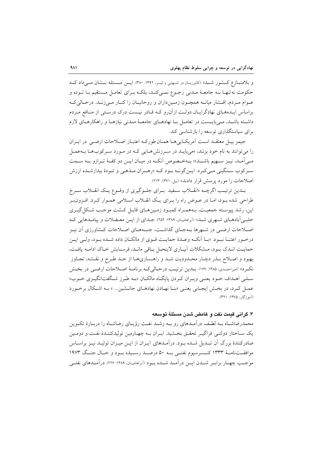و بلامنازع کشور شـله» (کاتوزیـان در شـهابی و لینـز، ۱۳۹۲: ۳۸۰). ایــن مــسئله نــشان مــ ٍ رداد کــه حکومت نه تنهـا بـه جامعـهٔ مـدنی رجـوع نمـی کنـد، بلکـه بـرای تعامـل مـستقیم بـا تـوده و عـوام مـردم، اقـشار ميانــه همچـون زمـينداران و روحانيـان را كنــار مـيزنــد. درحـاليكـه براساس ایـدههـای نهادگرایـان دولـت ازآنرو کـه قـادر نیـست درک درسـتی از منـافع مـردم داشته باشـد، مـي بايـست در تعامـل بـا نهادهـاي جامعـهٔ مـدنى نيازهـا و راهكارهـاي لازم برای سیاستگذاری توسعه را بازشناسی کند.

جيمز بيل معتقـد اسـت أمريكـاييهـا همـان طوركـه اعتبـار اصـلاحات ارضـي در ايـران را می توانند به نام خود بزنند، «می بایـد در سـرزنش هـایی کـه در مـورد سـرکوبهـا بـهعمـل مـي آمـد، نيـز سـهيم باشـند»؛ بـهخـصوص أنكـه در ميـان ايـن دو كفـهٔ تـرازو بـه سـمت سرکوب سنگینی مے کرد. ایـنگونــه بـود کــه «رهبـران مــذهبی و تــودهٔ بیدارشــده ارزش اصلاحات را مورد برسش قرار دادند» (بیل ۱۳۷۱: ۲۱۳).

بــدین ترتیـب اگرچــه «انقــلاب ســفید بــرای جلــوگیری از وقــوع یــک انقــلاب ســرخ طراحی شده بود، امـا در عـوض راه را بـرای یـک انقـلاب اسـلامی همـوار کـرد. افـزون;بـر اين، رشد پيوسـته جمعيـت، بـههمـراه كمبـود زمـينهـاي قابـل كـشت موجـب شـكل گيـري حلبی آبادهـای شـهری شـد» (آبراهامیـان، ۱۳۸۹: ۲۵۲). جـدای از ایــن معـضلات و پیامـدهایی کـه اصلاحات ارضـي در شـهرها بــهجـاي گذاشــت، جنبــههـاي اصــلاحات كــشاورزي آن نيـز درخـور اعتنــا نبــود. «بــا أنكــه وعــدهٔ حمايــت قــوى از مالكــان داده شــده بــود، ولــى ايــن حمايت انبدي بود، مشكلات آبياري لاينحل باقي مانيد، فرسايش خياك اداميه يافت، بهبود و اصـلاح بـذر دچـار محـدوديت شـد و راهـسازيهـا از حـد طـرح و نقـشه، تجـاوز نكرد» (اميراحمدي، ١٣٨٥: ١۶٧). بــدين ترتيـب درحـاليكــه برنامــهٔ اصــلاحات ارضــي در بخـش سلبی اهـداف خـود یعنـی ویـران کـردن پایگـاه مالکـان «بـه طـرز شـگفتانگیـزی خـوب» عمـل كـرد، در بخـش ايجـابي يعنـي «بنـا نهـادن نهادهـاي جانـشين... » بـه اشـكال برخـورد (آموزگار، ۱۳۷۵: ۳۲۱).

### ۳. گرانی قیمت نفت و غامض شدن مسئلهٔ توسعه

محمدرضاشــاه بــه لطـف در آمــدهای رو بــه رشــد نفــت رؤیــای رضاشــاه را دربــارهٔ تکــوین يک سـاختار دولتـي فراگيـر تحقـق بخـشيد. ايـران بـه چهـارمين توليدکننـدۀ نفـت و دومـين صادرکنندهٔ بزرگ آن تبـدیل شـده بـود. درآمـدهای ایـران از ایـن میـزان تولیـد نیـز براسـاس موافقــتنامــهٔ ۱۳۳۳ کنــسرسیوم نفتــی بــه ۵۰ درصــد رســیده بــود و حــال جنــگ ۱۹۷۳ موجــب چهــار برابــر شـــدن ايـــن درآمــد شــده بــود (آبراهاميــان، ١٣٨٩: ٢٢۶). درآمــدهاي نفتــي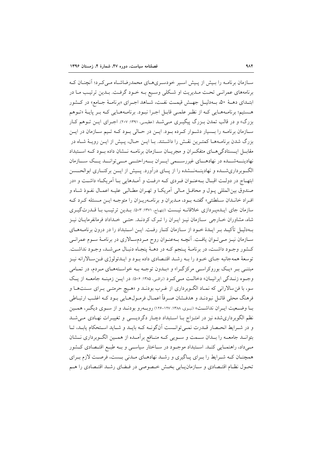سـازمان برنامـه را بـیش از پـیش اسـیر خودسـریهـای محمدرضاشـاه مـیکرد؛ آنچنـان کـه برنامههای عمرانبی تحت مـدیریت او شـکلی وسـیع بـه خـود گرفـت. بـدین ترتیـب مـا در ابتـداي دهــهٔ ۵۰، بــهدليــل جهــش قيمــت نفــت، شــاهد اجــراي «برنامــهٔ جــامع» در كــشور هـستیم؛ برنامـههـایی کـه از نظـر علمـی قابـل اجـرا نبـود. برنامـههـایی کـه بـر پایـهٔ «تـوهم بزرگ» و در قالب تمدن بـزرگ پیگیـری مـی.شــد (عظیمـی، ۱۳۹۱: ۲۰۷). اجــرای ایــن تــوهم کــار سـازمان برنامـه را بــسيار دشـوار كـرده بـود. ايــن در حــالي بــود كــه تــيم ســازمان در ايــن بزرگ شدن برنامـههـا كمتـرين نقـش را داشـتند. بـا ايـن حـال، پـيش از ايـن رويـهٔ شـاه در مقابـــل ايـــستادگي هـــاي متفكــران و مجريـــان ســـازمان برنامـــه نـــشان داده بـــو د كــه اســـتبداد نهادینهشسده در نهادهـای غیررسـمی ایــران بــهراحتــی مــیتوانــد یــک ســازمان الگـوبرداریشــده و نهادینــهنــشده را از یــای درآورد. پــیش از ایــن برکنــاری ابوالحــسن ابتهـاج در دولـت اقبـال بــهعنــوان فــردي كــه «رفــت و أمــدهايي بــا أمريكــا» داشــت و «در صندوق بين المللي پـول و محافـل مـالي آمريكـا و تهـران مطـالبي عليـه اعمـال نفـوذ شـاه و افـراد خانـدان سـلطنتي» گفتــه بــود، مــديران و برنامــهريــزان را متوجــه ايــن مــسئله كـرد كــه سازمان جای ایـدهپـردازی خلاقانــه نیـست (ابتهـاج، ۱۳۷۱: ۵۰۳: ۵۰۳). بـدین ترتیـب بـا قــدرتگیــری شاه، مشاوران خـارجي سـازمان نيـز ايـران را تـرک کردنـد. حتـي خـداداد فرمانفرمايـان نيـز بـهدليـل تأكيـد بـر ايـدۀ خـود از سـازمان كنـار رفـت. ايـن اسـتبداد را در درون برنامـههـاي سـازمان نيـز مـيتـوان يافـت. آنچـه بـهعنـوان روح مـردمسـالاري در برنامـهٔ سـوم عمرانـي كـشور وجـود داشـت، در برنامـهٔ يـنجم كـه در دهـهٔ ينجـاه دنبـال مـي شـد، وجـود نداشـت. توسعهٔ همهجانبه جـاي خـود را بــه رشــد اقتـصادي داده بـود و ايــدئولوژي فــنسـالارانه نيــز مبتنـي بـر «يـک بوروکراسـي مرکزگـرا» و «بــدون توجـه بــه خواسـتههـاي مـردم، در تمـامي وجـوه زنـدگی ایرانیـان» دخالـت مـی کـرد (نراقـی، ۱۳۸۵: ۵۰۶). در ایــن زمینــه جامعــه از یـک سو، با فن سالارانی که نمـاد الگـوبرداری از غـرب بودنـد و «هـیچ حرمتـی بـرای سـنتهـا و فرهنگ محلي قائـل نبودنـد و هدفـشان صـرفاً اعمـال فرمـولهـايي بـود كـه اغلـب ارتبـاطي بـا وضـعيت ايـران نداشـت» (نبـوي، ١٣٨٨-١٢٧) روبـهرو بودنـد و از سـوى ديگـر، همـين نظم الگوبرداری شده نیز در امتـزاج بـا اسـتبداد دچـار دگردیـسی و تغییـرات نهـادی مـی شـد و در شـرايط انحـصار قـدرت نمـي توانـست آنگونــه كـه بايــد و شـايد اسـتحكام يابـد، تـا بتوانــد جامعــه را بــدان ســمت و ســويي كــه منــافع برأمــده از همــين الگــوبرداري نــشان مـیداد، راهنمـایی کنـد. اسـتبداد موجـود در سـاختار سیاسـی و بـه طبـع اقتـصادی کـشور همچنـان كـه شـرايط را بـراي پـاگيري و رشـد نهادهـاي مـدني بـست، فرصـت لازم بـراي تحـول نظـام اقتـصادي و سـازمانيـابي بخـش خـصوصي در فـضاي رشـد اقتـصادي را هـم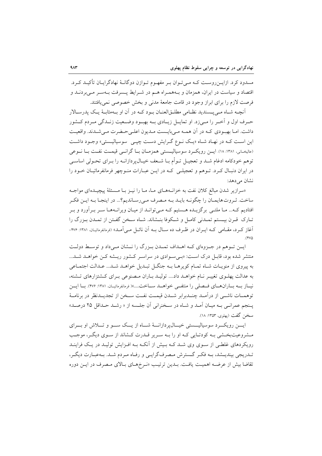مسدود کرد. ازایــنروســت کــه مــیتــوان بــر مفهــوم تــوازن دوگانــهٔ نهادگرایــان تأکیــد کــرد. اقتصاد و سیاست در ایران، همزمان و پیههمبراه هیم در شیرابط پیسرفت پیهستر می بردنید و فرصت لازم را برای ابراز وجود در قامت جامعهٔ مدنی و بخش خصوصی نمی یافتند.

آنچــه شــاه مــ<sub>ه يـ</sub>ـسنديد نظــامي مطلــق|لعنــان بــود كــه در آن او بــهمثابــهٔ يــک پدرســالار حـرف اول و اَخــر را مــي;د. او تمايــل زيــادي بــه بهبــود وضــعيت زنــدگي مــردم كــشور داشت. امـا بهبـودي كـه در آن همـه مـى بايـست مـديون اعلـى حـضرت مـى شـدند. واقعيـت اين است كـه در نهـاد شـاه «يـك نـوع گـرايش دسـت چيـي سوسياليـستي» وجـود داشـت (عالیخیانی، ۱۳۸۱: ۱۸). ایس رویک و سوسیالیسیتی همزمیان بیا گرانسی قیمت نفت بیا نسوعی توهم خودکامه ادغام شـد و تعجيـل تـوأم بــا شـعف خيــال5پردازانــه را بــراي تحــولي اساســي در ایران دنبـال کـرد. تــوهم و تعجیلــی کـه در ایــن عبـارات منــوچهر فرمانفرمائیــان خــود را نشان مے دھد:

«سرازیر شدن مبالغ کلان نفت به خزانـههـای مـا، مـا را نیــز بـا مــسئلهٔ پیچیــدهای مواجــه ساخت. ثـروت هايمـان را چگونـه بايـد بـه مـصرف مـىرسـانديم؟... در اينجـا بـه ايـن فكـر افتادیم کـه... مـا ملتـی برگزیــده هــستیم کـه مـیتوانــد از میـان ویرانــههـا سـر بـرآورد و بـر تـارک قـرن بيـستم تمـدني کامـل و شـکوفا بنـشاند. شـاه سـخن گفـتن از تمـدن بـزرگ را آغاز کرد، مقـامی کـه ایـران در ظـرف ده سـال بـه آن نائـل مـی آمـد» (فرمانفرمائیـان. ۱۳۸۱: ۲۷۶- $(900)$ 

ایــز تــوهم در جــزوهاي كــه اهــداف تمــدن بــزرگ را نــشان مــىداد و توســط دولــت منتشر شده بود، قابـل درک اسـت: «بـي سـوادي در سراسـر کـشور ريـشه کـن خواهـد شـد... به پیروی از منویـات شـاه تمـام كويرهـا بـه جنگـل تبـديل خواهـد شـد... عـدالت اجتمـاعي به عدالت پهلـوی تغییـر نـام خواهـد داد.... تولیـد بـاران مـصنوعی بـرای کـشتزارهای تـشنه، نیساز بــه بساران(هسای فــصلی را منتفــی خواهــد ســاخت....»( فرمانفرمائیسان، ۱۳۸۱: ۲۷۶). بــا ایسن توهمــات ناشــي از درآمــد چنــدبرابر شــدن قيمــت نفــت ســخن از تجديــدنظر در برنامــهٔ پـنجم عمرانـي بـه ميـان آمـد و شـاه در سـخزاني آن جلـسه از « رشـد حـداقا ٬ ۲۵ درصـد» سخن گفت (يهلوي، ۱۳۵۳: ۱۸).

ایسن رویک و سوسیالیسستی خیسال پر دازانسهٔ شساه از یسک سسو و تسلاش او بسرای مشروعیتبخشی بـه کودتـایی کـه او را بـه سـریر قــدرت کــشاند از سـوی دیگـر، موجـب رویکردهای غلطبی از سـوی وی شـد کـه بـیش از آنکـه بـه افـزایش تولیـد در یـک فراینـد تـدريجي بينديــشد، بــه فكـر گــسترش مـصرفگرايــي و رفـاه مـردم شــد. بــهعبـارت ديگـر، تقاضا بيش از عرضـه اهميـت يافـت. بـدين ترتيـب «نـرخهـاي بـالاي مـصرف در ايـن دوره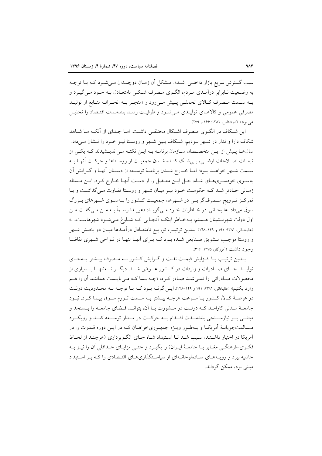سبب گسترش سریع بازار داخل<sub>عی</sub> شـد». مـشکل آن زمـان دوچنـدان مـی شـود کـه بـا توجـه به وضـعیت نـابرابر درآمـدي مـردم، الگـوي مـصرف شـكلي نامتعـادل بــه خـود مــي گيــرد و بـه سـمت مـصرف كـالاي تجملـي پـيش مـيرود و «منجـر بـه انحـراف منـابع از توليــد مصرفي عمومي وكالاهباي توليبدي مبى شبود و ظرفيت رشيد بلندميدت اقتبصاد را تحليبل می بو د» (کارشناس، ۱۳۸۲: ۲۶۶ و ۲۷۹).

این شـكاف در الگـوی مـصرف اشـكال مختلفـی داشـت. امـا جـدای از آنكـه مـا شـاهد شکاف دارا و ندار در شـهر بـوديم، شـکاف بـين شـهر و روسـتا نيـز خـود را نـشان مـيداد. سال هــا پـیش از ایــن متخصــصان ســازمان برنامــه بــه ایــن نکتــه مــی|ندیــشیدند کــه یکــی از تبعـات اصـلاحات ارضـي، بـي شـك كنـده شـدن جمعيـت از روسـتاها و حركـت أنهـا بـه سـمت شـهر خواهـد بـود؛ امـا خـارج شـدن برنامـهٔ توسـعه از دسـتان أنهـا و گـرايش أن بهسوی خودسریهای شاه، حل ایـن معـضل را از دسـت آنهـا خـارج کـرد. ایـن مـسئله زمانی حادتر شد که حکومت خـود نیـز میـان شـهر و روسـتا تفـاوت مـیگذاشـت و بـا تمرکـز تـرويج مـصرفگرايـي در شـهرها، جمعيـت كـشور را بـهسـوي شـهرهاي بـزرگ سوق ميداد. عاليخـاني در خـاطرات خـود مـي گويـد: «هويـدا رسـماً بـه مـن مـي گفـت مـن اول دولت شهرنـشينان هـستم، بـهخـاطر اينكـه آنجـايي كـه شـلوغ مـيشـود شهرهاسـت....» (عاليخـاني، ١٣٨١: ١٩١ و ١٢٩-١٢٨). بــدين ترتيــب توزيــع نامتعــادل درآمــدها ميــان دو بخــش شــهر و روستا موجب تـشويق صـنايعي شـده بـود كـه بـراي أنهـا تنهـا در نـواحي شـهري تقاضـا وجود داشت (آموزگار، ۱۳۷۵: ۳۱۶).

بلدین ترتیب بـا افـزایش قیمـت نفـت و گـرایش كـشور بـه مـصرف بیـشتر-بـهجـای تولیـــد-جـــای صـــادرات و واردات در کـــشور عـــوض شـــد. دیگـــر نـــهتنهــا بـــسیاری از محصولات صـادراتي را نمـي شـد صـادر كـرد، «چـه بـسا كـه مـي بايـست هماننـد أن را هـم وارد بکنیم» (عالیخانی، ۱۳۸۱: ۱۹۱ و ۱۴۹–۱۴۸). ایس گونــه بــود کــه بــا توجــه بــه محــدودیت دولــت در عرصـهٔ كـالا، كـشور بـا سـرعت هرچـه بيـشتر بـه سـمت تـورم سـوق پيـدا كـرد. نبـود جامعـهٔ مـدنی کارامـد کـه دولـت در مـشورت بـا آن، بتوانـد فـضای جامعـه را بــسنجد و مبتنے بے نیازسٹنجی بلندملدت اقسدام بے حرکت در مسدار توسیعه کنسد و رویک د مـسالمتجويانـهٔ اَمريكـا و بـهطـور ويـژه جمهـوريخواهـان كـه در ايـن دوره قــدرت را در آمریکا در اختیار داشتند، سبب شـد تـا اسـتبداد شـاه جـای الگـو بر داری (هرچنـد از لحـاظ فکـري-فرهنگـي مغـاير بـا جامعـهٔ ايـران) را بگيـرد و حتـي مزايـاي حـداقلي آن را نيـز بـه حاشیه ببرد و رویـههـای سـادهلوحانـهای از سیاسـتگذاریهـای اقتـصادی را کـه بـر اسـتبداد مبتنی بود، ممکن گرداند.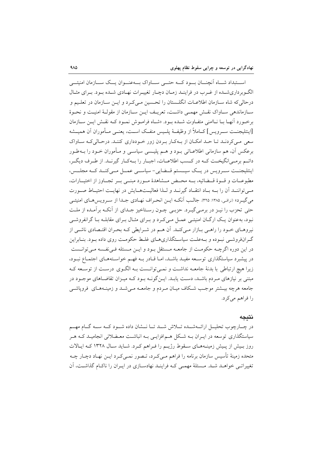اســتبداد شــاه آنچنــان بــود كــه حتـــى ســـاواك بـــهعنــوان يــك ســـازمان امنيتـــى الگـوبرداریشـده از غـرب در فراینـد زمـان دچـار تغیبرات نهـادی شـده بـود. بـرای مثـال درحاله كه شاه سـازمان اطلاعــات انگلــستان را تحـسين مــيكـرد و ايــن ســازمان در تعلـيم و سبازماندهی سباواک نقبش مهمبی داشت، تعریبف این سبازمان از مقولیهٔ امنیت و نجبوهٔ برخـورد أنهـا بــا نــاامنى متفــاوت شــده بــود. «شــاه فرامــوش نمــود كــه نقــش ايــن ســازمان [اينتليجنــت ســرويس] كــاملاً از وظيفــهٔ يلــيس منفــك اســت، يعنــي مــأموران آن هميــشه سعی مے کردنید تیا حید امکیان از بیهکار بردن زور خودداری کننید. درحیالی کیه سیاواک برعکس اَن، هم سازماني اطلاعــاتي بــود و هــم پليــسي سياســي و مــأموران خــود را بــهطـور دائـم برمـي|نگيخـت كــه در كـسب اطلاعــات، اجبــار را بــهكـار گيرنــد. از طـرف ديگــر، اینتلیجنت سے ویس در یک سیستم قبضایی-سیاسے عمل مے کنبد کے مجلس، مطبوعــات و قسوۀ قسضائيه، بسه محــض مسشاهدۀ مسورد مبنسي بسر تجب1وز از اختيسارات، مبي تواننــد أن را بــه بــاد انتقــاد گيرنــد و لــذا فعاليــتهــايش در نهايــت احتيــاط صــورت مي گيـرد» (نراقـي، ١٣٨٥: ٣٢٥). جالـب اّنكــه ايــن انحــراف نهــادي جــدا از ســرويس هــاي امنيتــي حتی تحزب را نیـز در برمـی گیـرد. حزبـی چـون رسـتاخیز جـدای از اّنکـه براّمـده از ملـت نبود، بهعنوان یـک ارگــان امنیتــی عمــل مــی کــرد و بــرای مثــال بــرای مقابلــه بــا گرانفروشــی نیروهـای خـود را راهـی بـازار مـیکنـد. آن هـم در شـرایطی کـه بحـران اقتـصادی ناشـی از گـرانفروشـي نبـوده و بـهعلـت سياسـتگذاريهـاي غلـط حكومـت روي داده بـود. بنـابراين در این دوره اگرچــه حکومـت از جامعــه مــستقل بــود و ایــن مــسئله فــی نفـسه مــی توانــست در پیشبرد سیاستگذاری توسیعه مفیلد باشید، امیا قیادر بیه فهیم خواستههیای اجتمیاع نبیود، زیرا هیچ ارتباطی با بدنهٔ جامعــه نداشــت و نمــیتوانــست بــه الگــوی درســت از توســعه کــه مبتنی بر نیازهای مـردم باشـد، دسـت یابـد. ایــنگونــه بــود کــه میــزان تقاضــاهای موجــود در جامعه هرچه بیـشتر موجـب شـكاف میـان مـردم و جامعـه مـیشـد و زمینـههـای فرویاشـی را فراهم مي كرد.

#### نتىحە

در چـارچوب تحليـل ارائــهشــده تــلاش شــد تــا نــشان داده شــود كــه ســه گــام مهــم سیاستگذاری توسعه در ایـران بــه شـکل هــمافزایــی بــه انباشــت معــضلاتی انجامیــد کــه هــر روز بیش از پیش زمینههای سقوط رژیم را فراهم کرد. شاید سال ۱۳۲۸ که ایالات متحده زمینهٔ تأسیس سازمان برنامه را فراهم مـیکـرد، تـصور نمـیکـرد ایـن نهـاد دچـار چـه تغییراتبی خواهـد شـد. مـسئلهٔ مهمـی کـه فراینـد نهادسـازی در ایـران را ناکـام گذاشـت، آن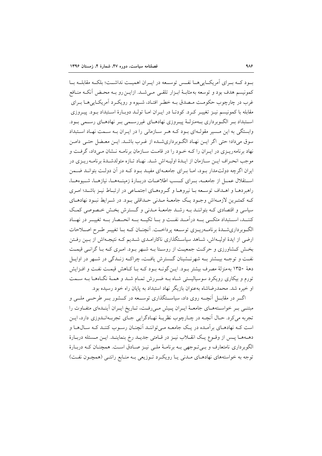بسود کسه بسرای آمریکسایی هسا نفسن توسیعه در ایسران اهمیست نداشست؛ بلکسه مقابلسه بسا كمونيسم هدف بود و توسعه به مثابـهٔ ابـزار تلقـي مـي شـد. ازايـن رو بـه محـض آنكـه منـافع غرب در چارچوب حکومت مصدق بـه خطـر افتـاد، شـيوه و رويکـرد آمريکـاييهـا بـراي مقابله با کمونیسم نیـز تغییـر کـرد. کودتـا در ایـران امـا تولـد دوبـارهٔ اسـتبداد بـود. پیـروزی اسـتبداد بـر الگــوبرداري بــهمنزلــهٔ پيــروزي نهادهــاي غيررســمي بـر نهادهــاي رســمي بــود. وابستگی به این مسیر مقولهای بود کـه هـر سـازمانی را در ایـران بـه سـمت نهـاد اسـتبداد سوق میداد؛ حتی اگر ایـن نهـاد الگـوبرداریشـده از غـرب باشـد. ایـن معـضل حتـی دامـن نهاد برنامه ریـزی در ایـران را کـه خـود را در قامـت سـازمان برنامـه نــشان مـی داد، گرفـت و موجب انحـراف ايـن سـازمان از ايـدۀ اوليـهاش شـد. نهـاد تـازه متولدشـدۀ برنامـه ريـزي در ایران اگرچه دولتمدار بود، امـا بـرای جامعـهای مفیـد بـود کـه در آن دولـت بتوانـد ضـمن استقلال عمـل از جامعــه، بــراي كــسب اطلاعــات دربــارهٔ زمينــههــا، نيازهــا، شــيوههــا، راهبردهـا و اهـداف توسـعه بـا نيروهـا و گـروههـاي اجتمـاعي در ارتبـاط نيـز باشـد؛ امـري کـه کمتـرين لازمـهاش وجـود يـک جامعـهٔ مـدني حـداقلي بـود. در شـرايط نبـود نهادهـاي سیاسی و اقتصادی کـه بتواننـد بـه رشـد جامعـهٔ مـدنی و گـسترش بخـش خـصوصی کمـک كننسد، استتبداد متكنى بسه درآمسد نفست و بسا تكيسه بسه انحسصار بسه تغييس در نهساد الگـوبرداريشـدۀ برنامـهريـزي توسـعه پرداخـت. اَنچنـان كـه بـا تغييـر طـرح اصـلاحات ارضی از ایدهٔ اولیـهاش، شـاهد سیاسـتگذاری ناکارامـدی شـدیم کـه نتیجـهاش از بـین رفـتن بخش کشاورزی و حرکت جمعیت از روستا بـه شـهر بـود. امـری کـه بـا گرانـی قیمـت نفت و توجـه بیــشتر بــه شهرنــشبنان گــسترش یافـت، چراکــه زنــدگی در شــهر در اوایــل دههٔ ۱۳۵۰ به منزلهٔ مصرف بیشتر بـود. ایـنگونـه بـود کـه بـا کـاهش قیمـت نفـت و افـزایش تورم و بیکاری رویکرد سوسیالیستی شـاه بــه ضـررش تمـام شــد و همـهٔ نگــاههـا بــه ســمت او خيره شد. محمدرضاشاه بهعنوان بازيگر نهاد استبداد به پايان راه خود رسيده بود.

اگــر در مقابـــل آنچـــه روی داد، سیاســـتگذاری توســـعه در کـــشور بـــر طرحـــی ملـــی و مبتنبی بـر خواسـتههـای جامعـهٔ ایـران پـیش مـیرفـت، تـاریخ ایـران آینـدهای متفـاوت را تجربه مي کرد. حـال آنچــه در چــارچوب نظريــهٔ نهــادگرايي جــاي تجربــهانــدوزي دارد، ايــن است کـه نهادهـاي بر آمـده در يـک جامعـه مـي تواننـد آنچنـان رسـوب کننـد کـه سـالهـا و دهـههـا پـس از وقـوع يـك انقــلاب نيـز در قــامتى جديــد رخ بنماينــد. ايــن مــسئله دربــارهٔ الگوبرداری نامتعارف و ببی تـوجهی بـه برنامـهٔ ملـی نیـز صـادق اسـت. همچنـان کـه دربـارهٔ توجه به خواستههای نهادهـای مـدنی یـا رویکـرد تـوزیعی بـه منـابع رانتـی (همچـون نفـت)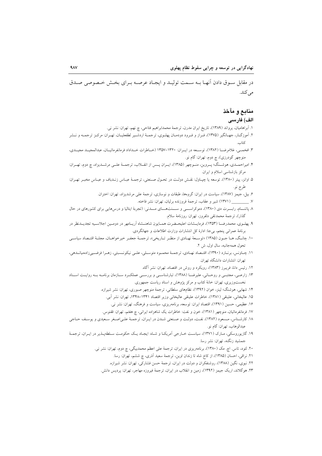در مقابل سـوق دادن آنهـا بــه ســمت توليــد و ايجــاد عرصــه بــراي بخــش خــصوصي صــدق مہ کند.

# منابع و مآخذ

### الف) فارسى

- ١. أبراهاميان، يرواند (١٣٨٩)، تاريخ ايران مدرن، ترجمهٔ محمدابراهيم فتاحي، چ نهم، تهران: نشر ني.
- ۲. آموزگــار، جهــانگیر (۱۳۷۵)، فــراز و فــرود دودمــان پهلــوي، ترجمــهٔ اردشــیر لطفعلیــان، تهــران: مرکــز ترجمــه و نــشر
- ۳. افخمـــی، غلامرضـــا (۱۳۸۲)، توســـعه در ایــران: ۱۳۲۰–۱۳۵۷ (خــاطرات خــداداد فرمانفرمائیــان، عبدالمجیــد مجیــدی، منوچهر گودرزي)، چ دوم، تهران: گام نو.
- ۴. امیراحمـدي، هوشـنگ؛ پـروين، منـوچهر (۱۳۸۵)، ايـران پـس از انقــلاب، ترجمــۀ علــي مرشــديزاد، چ دوم، تهـران: مرکز بازشناسی اسلام و ایران.
- ۵. اوانز، پیتر (۱۳۸۰)، توسعه یا چپـاول: نقـش دولـت در تحـول صـنعتی، ترجمـهٔ عبـاس زنـدباف و عبـاس مخبـر تهـران: طرح نو.
	- ۶. بیل، جیمز (۱۳۸۷)، سیاست در ایران: گروهها، طبقات و نوسازی، ترجمهٔ علی مرشدیزاد، تهران: اختران.
		- ٧. \_\_\_\_\_\_\_\_\_ (١٣٧١) شير و عقاب، ترجمهٔ فروزنده برليان، تهران: نشر فاخته.
- ٨ پاتنسام، رابسرت دی (١٣٨٠)، دموکراسسی و سسنتهسای مسدنی: (تجربهٔ ایتالیا و درس هایی برای کشورهای در حال گذار)، ترجمهٔ محمدتقی دلفروز، تهران: روزنامهٔ سلام.
- ۹. پهلـوي، محمدرضــا (۱۳۵۳)، فرمايــشات اعليحــضرت همــايون شاهنــشاه اَريــامهر در دومــين اجلاســيه تجديــدنظر در برنامهٔ عمرانی پنجم، بیجا: ادارهٔ کل انتشارات وزارت اطلاعات و جهانگردی.
- ۱۰. چانگ، هـا جـون (۱۳۸۵) «توسـعهٔ نهـادي از منظـر تـاريخي»، ترجمــهٔ جعفـر خيرخواهـان، مجلـهٔ اقتـصاد سياسـي تحول همهجانبه، سال اول، ش ٢.
- ۱۱. چـاونس، برنـارد (۱۳۹۰)، اقتـصاد نهـادي، ترجمـهٔ محمـود متوسـلي، علـي نيكونــسبتي، زهـرا فرضـييزادهميانـدهي، تهران: انتشارات دانشگاه تهران.
	- ۱۲. رئیس دانا، فریبرز (۱۳۸۳)، رویکرد و روش در اقتصاد، تهران: نشر آگاه.
- ۱۳. زارعــی، مجتبــی و روحــانی، علیرضــا (۱۳۸۸)، تبارشناســی و بررســی عملکــرد ســازمان برنامــه بــه روایــت اســناد نخست وزیری، تهران: خانهٔ کتاب و مرکز پژوهش و اسناد ریاست جمهوری.
	- ۱۴. شهابی، هوشنگ؛ لینز، خوان (۱۳۹۲)، نظامهای سلطانی، ترجمهٔ منوچهر صبوری، تهران: نشر شیرازه.
		- ۱۵. عالیخانی، علینقی (۱۳۸۱)، خاطرات علینقی عالیخانی وزیر اقتصاد ۱۳۴۱–۱۳۴۸، تهران: نشر اَبی.
			- ۱۶. عظیمی، حسین (۱۳۹۱)، اقتصاد ایران: توسعه، برنامهریزی، سیاست و فرهنگ، تهران: نشر نی.
	- ١٧. فرمانفرمائيان، منوچهر (١٣٨١)، خون و نفت: خاطرات يک شاهزاده ايراني، چ هفتم، تهران: ققنوس.
- ۱۸. کارشـناس، مـسعود (۱۳۸۲)، نفـت، دولـت و صـنعتي شـدن در ايـران، ترجمـهٔ علـي|صـغر سـعيدي و يوسـف حـاجي عبدالوهاب، تهران: گام نو.
- ۱۹. گازیوروسکی، مـارک (۱۳۷۱)، سیاسـت خـارجی اَمریکـا و شـاه: ایجـاد یـک حکومـت سـلطهپـذیر در ایـران، ترجمـهٔ جمشید زنگنه، تهران: نشر رسا.
	- ۲۰. لئود، تاس اچ. مک (۱۳۸۰)، برنامهریزی در ایران، ترجمهٔ علی اعظم محمدبیگی، چ دوم، تهران: نشر نی.
		- ٢١. نراقی، احسان (١٣٨۵)، از کاخ شاه تا زندان اوین، ترجمهٔ سعید آذری، چ ششم، تهران: رسا.
		- ۲۲. نبوی، نگین (۱۳۸۸)، روشنفکران و دولت در ایران، ترجمهٔ حسن فشارکی، تهران: نشر شیرازه.
		- ٢٣. هو گلاند، اريک جيمز (١٣٩٢)، زمين و انقلاب در ايران، ترجمهٔ فيروزه مهاجر، تهران: يرديس دانش.